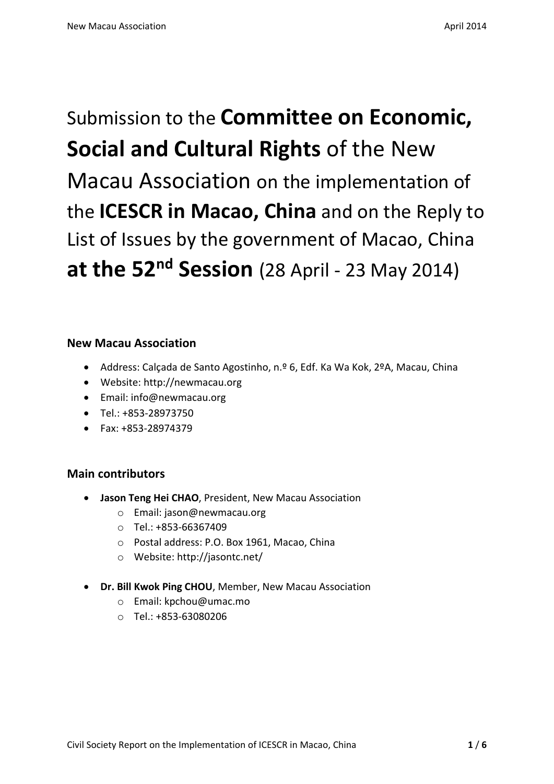Submission to the **Committee on Economic, Social and Cultural Rights** of the New Macau Association on the implementation of the **ICESCR in Macao, China** and on the Reply to List of Issues by the government of Macao, China **at the 52nd Session** (28 April - 23 May 2014)

# **New Macau Association**

- Address: Calçada de Santo Agostinho, n.º 6, Edf. Ka Wa Kok, 2ºA, Macau, China
- Website: http://newmacau.org
- Email: info@newmacau.org
- Tel.: +853-28973750
- Fax: +853-28974379

# **Main contributors**

- **Jason Teng Hei CHAO**, President, New Macau Association
	- o Email: jason@newmacau.org
	- o Tel.: +853-66367409
	- o Postal address: P.O. Box 1961, Macao, China
	- o Website: http://jasontc.net/
- **Dr. Bill Kwok Ping CHOU**, Member, New Macau Association
	- o Email: kpchou@umac.mo
	- o Tel.: +853-63080206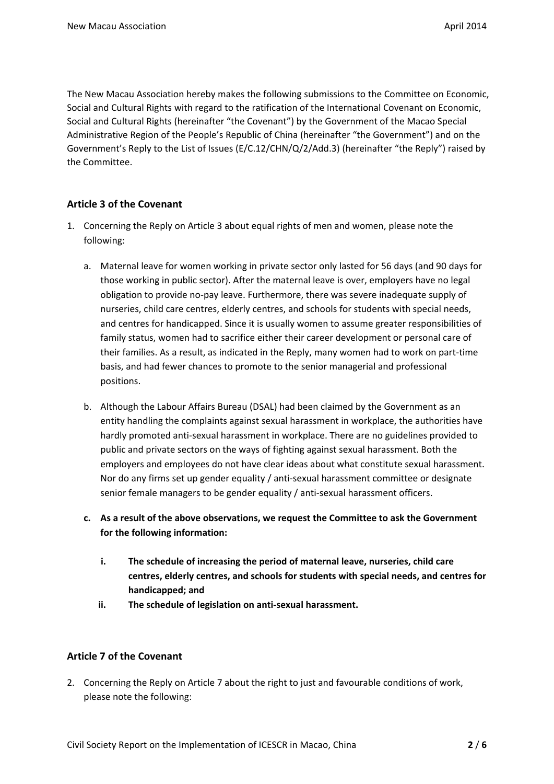The New Macau Association hereby makes the following submissions to the Committee on Economic, Social and Cultural Rights with regard to the ratification of the International Covenant on Economic, Social and Cultural Rights (hereinafter "the Covenant") by the Government of the Macao Special Administrative Region of the People's Republic of China (hereinafter "the Government") and on the Government's Reply to the List of Issues (E/C.12/CHN/Q/2/Add.3) (hereinafter "the Reply") raised by the Committee.

## **Article 3 of the Covenant**

- 1. Concerning the Reply on Article 3 about equal rights of men and women, please note the following:
	- a. Maternal leave for women working in private sector only lasted for 56 days (and 90 days for those working in public sector). After the maternal leave is over, employers have no legal obligation to provide no-pay leave. Furthermore, there was severe inadequate supply of nurseries, child care centres, elderly centres, and schools for students with special needs, and centres for handicapped. Since it is usually women to assume greater responsibilities of family status, women had to sacrifice either their career development or personal care of their families. As a result, as indicated in the Reply, many women had to work on part-time basis, and had fewer chances to promote to the senior managerial and professional positions.
	- b. Although the Labour Affairs Bureau (DSAL) had been claimed by the Government as an entity handling the complaints against sexual harassment in workplace, the authorities have hardly promoted anti-sexual harassment in workplace. There are no guidelines provided to public and private sectors on the ways of fighting against sexual harassment. Both the employers and employees do not have clear ideas about what constitute sexual harassment. Nor do any firms set up gender equality / anti-sexual harassment committee or designate senior female managers to be gender equality / anti-sexual harassment officers.
	- **c. As a result of the above observations, we request the Committee to ask the Government for the following information:**
		- **i. The schedule of increasing the period of maternal leave, nurseries, child care centres, elderly centres, and schools for students with special needs, and centres for handicapped; and**
		- **ii. The schedule of legislation on anti-sexual harassment.**

#### **Article 7 of the Covenant**

2. Concerning the Reply on Article 7 about the right to just and favourable conditions of work, please note the following: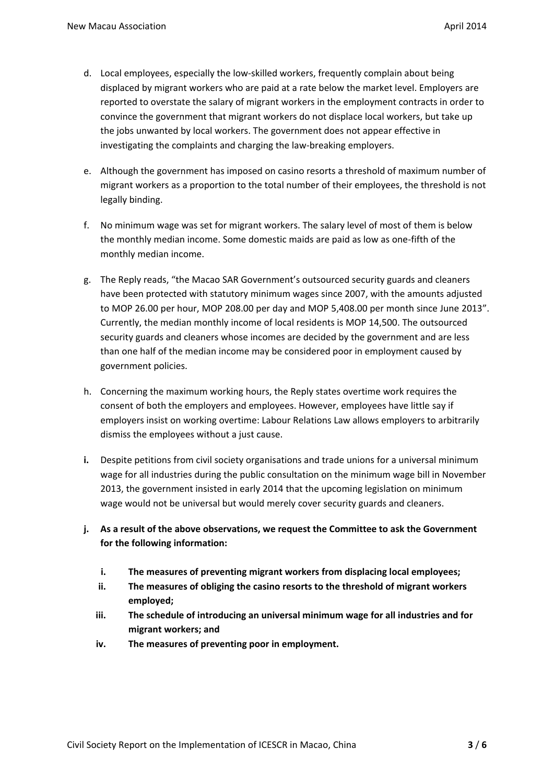- d. Local employees, especially the low-skilled workers, frequently complain about being displaced by migrant workers who are paid at a rate below the market level. Employers are reported to overstate the salary of migrant workers in the employment contracts in order to convince the government that migrant workers do not displace local workers, but take up the jobs unwanted by local workers. The government does not appear effective in investigating the complaints and charging the law-breaking employers.
- e. Although the government has imposed on casino resorts a threshold of maximum number of migrant workers as a proportion to the total number of their employees, the threshold is not legally binding.
- f. No minimum wage was set for migrant workers. The salary level of most of them is below the monthly median income. Some domestic maids are paid as low as one-fifth of the monthly median income.
- g. The Reply reads, "the Macao SAR Government's outsourced security guards and cleaners have been protected with statutory minimum wages since 2007, with the amounts adjusted to MOP 26.00 per hour, MOP 208.00 per day and MOP 5,408.00 per month since June 2013". Currently, the median monthly income of local residents is MOP 14,500. The outsourced security guards and cleaners whose incomes are decided by the government and are less than one half of the median income may be considered poor in employment caused by government policies.
- h. Concerning the maximum working hours, the Reply states overtime work requires the consent of both the employers and employees. However, employees have little say if employers insist on working overtime: Labour Relations Law allows employers to arbitrarily dismiss the employees without a just cause.
- **i.** Despite petitions from civil society organisations and trade unions for a universal minimum wage for all industries during the public consultation on the minimum wage bill in November 2013, the government insisted in early 2014 that the upcoming legislation on minimum wage would not be universal but would merely cover security guards and cleaners.
- **j. As a result of the above observations, we request the Committee to ask the Government for the following information:**
	- **i. The measures of preventing migrant workers from displacing local employees;**
	- **ii. The measures of obliging the casino resorts to the threshold of migrant workers employed;**
	- **iii. The schedule of introducing an universal minimum wage for all industries and for migrant workers; and**
	- **iv. The measures of preventing poor in employment.**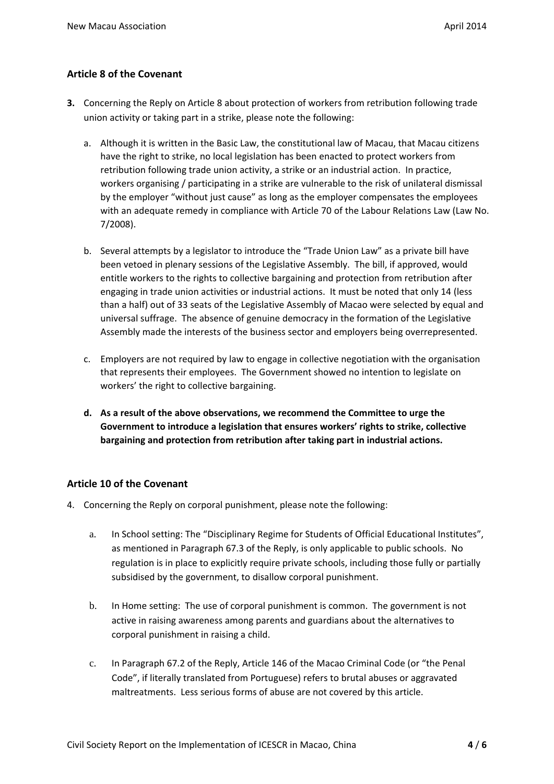# **Article 8 of the Covenant**

- **3.** Concerning the Reply on Article 8 about protection of workers from retribution following trade union activity or taking part in a strike, please note the following:
	- a. Although it is written in the Basic Law, the constitutional law of Macau, that Macau citizens have the right to strike, no local legislation has been enacted to protect workers from retribution following trade union activity, a strike or an industrial action. In practice, workers organising / participating in a strike are vulnerable to the risk of unilateral dismissal by the employer "without just cause" as long as the employer compensates the employees with an adequate remedy in compliance with Article 70 of the Labour Relations Law (Law No. 7/2008).
	- b. Several attempts by a legislator to introduce the "Trade Union Law" as a private bill have been vetoed in plenary sessions of the Legislative Assembly. The bill, if approved, would entitle workers to the rights to collective bargaining and protection from retribution after engaging in trade union activities or industrial actions. It must be noted that only 14 (less than a half) out of 33 seats of the Legislative Assembly of Macao were selected by equal and universal suffrage. The absence of genuine democracy in the formation of the Legislative Assembly made the interests of the business sector and employers being overrepresented.
	- c. Employers are not required by law to engage in collective negotiation with the organisation that represents their employees. The Government showed no intention to legislate on workers' the right to collective bargaining.
	- **d. As a result of the above observations, we recommend the Committee to urge the Government to introduce a legislation that ensures workers' rights to strike, collective bargaining and protection from retribution after taking part in industrial actions.**

## **Article 10 of the Covenant**

- 4. Concerning the Reply on corporal punishment, please note the following:
	- a. In School setting: The "Disciplinary Regime for Students of Official Educational Institutes", as mentioned in Paragraph 67.3 of the Reply, is only applicable to public schools. No regulation is in place to explicitly require private schools, including those fully or partially subsidised by the government, to disallow corporal punishment.
	- b. In Home setting: The use of corporal punishment is common. The government is not active in raising awareness among parents and guardians about the alternatives to corporal punishment in raising a child.
	- c. In Paragraph 67.2 of the Reply, Article 146 of the Macao Criminal Code (or "the Penal Code", if literally translated from Portuguese) refers to brutal abuses or aggravated maltreatments. Less serious forms of abuse are not covered by this article.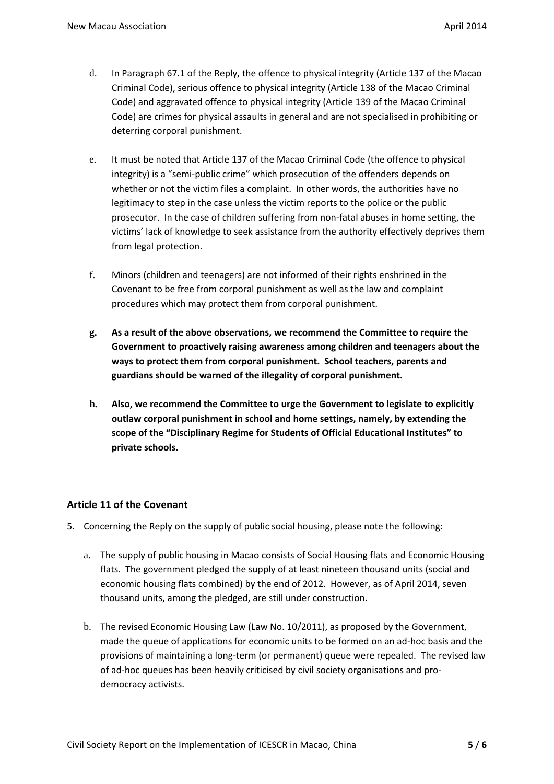- d. In Paragraph 67.1 of the Reply, the offence to physical integrity (Article 137 of the Macao Criminal Code), serious offence to physical integrity (Article 138 of the Macao Criminal Code) and aggravated offence to physical integrity (Article 139 of the Macao Criminal Code) are crimes for physical assaults in general and are not specialised in prohibiting or deterring corporal punishment.
- e. It must be noted that Article 137 of the Macao Criminal Code (the offence to physical integrity) is a "semi-public crime" which prosecution of the offenders depends on whether or not the victim files a complaint. In other words, the authorities have no legitimacy to step in the case unless the victim reports to the police or the public prosecutor. In the case of children suffering from non-fatal abuses in home setting, the victims' lack of knowledge to seek assistance from the authority effectively deprives them from legal protection.
- f. Minors (children and teenagers) are not informed of their rights enshrined in the Covenant to be free from corporal punishment as well as the law and complaint procedures which may protect them from corporal punishment.
- **g. As a result of the above observations, we recommend the Committee to require the Government to proactively raising awareness among children and teenagers about the ways to protect them from corporal punishment. School teachers, parents and guardians should be warned of the illegality of corporal punishment.**
- **h. Also, we recommend the Committee to urge the Government to legislate to explicitly outlaw corporal punishment in school and home settings, namely, by extending the scope of the "Disciplinary Regime for Students of Official Educational Institutes" to private schools.**

## **Article 11 of the Covenant**

- 5. Concerning the Reply on the supply of public social housing, please note the following:
	- a. The supply of public housing in Macao consists of Social Housing flats and Economic Housing flats. The government pledged the supply of at least nineteen thousand units (social and economic housing flats combined) by the end of 2012. However, as of April 2014, seven thousand units, among the pledged, are still under construction.
	- b. The revised Economic Housing Law (Law No. 10/2011), as proposed by the Government, made the queue of applications for economic units to be formed on an ad-hoc basis and the provisions of maintaining a long-term (or permanent) queue were repealed. The revised law of ad-hoc queues has been heavily criticised by civil society organisations and prodemocracy activists.